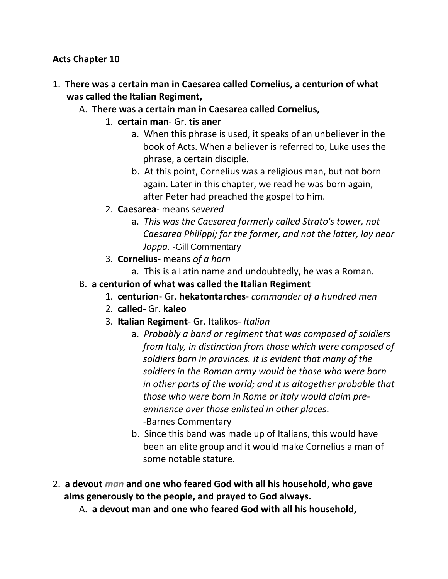#### **Acts Chapter 10**

- 1. **There was a certain man in Caesarea called Cornelius, a centurion of what was called the Italian Regiment,** 
	- A. **There was a certain man in Caesarea called Cornelius,**
		- 1. **certain man** Gr. **tis aner**
			- a. When this phrase is used, it speaks of an unbeliever in the book of Acts. When a believer is referred to, Luke uses the phrase, a certain disciple.
			- b. At this point, Cornelius was a religious man, but not born again. Later in this chapter, we read he was born again, after Peter had preached the gospel to him.
		- 2. **Caesarea** means *severed*
			- a. *This was the Caesarea formerly called Strato's tower, not Caesarea Philippi; for the former, and not the latter, lay near Joppa.* -Gill Commentary
		- 3. **Cornelius** means *of a horn*
			- a. This is a Latin name and undoubtedly, he was a Roman.
	- B. **a centurion of what was called the Italian Regiment**
		- 1. **centurion** Gr. **hekatontarches** *commander of a hundred men*
		- 2. **called** Gr. **kaleo**
		- 3. **Italian Regiment** Gr. Italikos- *Italian*
			- a. *Probably a band or regiment that was composed of soldiers from Italy, in distinction from those which were composed of soldiers born in provinces. It is evident that many of the soldiers in the Roman army would be those who were born in other parts of the world; and it is altogether probable that those who were born in Rome or Italy would claim pre eminence over those enlisted in other places*. -Barnes Commentary
			- b. Since this band was made up of Italians, this would have been an elite group and it would make Cornelius a man of some notable stature.
- 2. **a devout** *man* **and one who feared God with all his household, who gave alms generously to the people, and prayed to God always.** 
	- A. **a devout man and one who feared God with all his household,**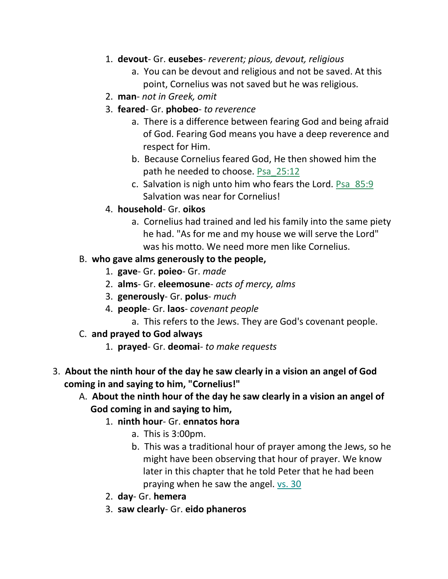- 1. **devout** Gr. **eusebes** *reverent; pious, devout, religious*
	- a. You can be devout and religious and not be saved. At this point, Cornelius was not saved but he was religious.
- 2. **man** *not in Greek, omit*
- 3. **feared** Gr. **phobeo** *to reverence*
	- a. There is a difference between fearing God and being afraid of God. Fearing God means you have a deep reverence and respect for Him.
	- b. Because Cornelius feared God, He then showed him the path he needed to choose. Psa\_25:12
	- c. Salvation is nigh unto him who fears the Lord. Psa\_85:9 Salvation was near for Cornelius!
- 4. **household** Gr. **oikos**
	- a. Cornelius had trained and led his family into the same piety he had. "As for me and my house we will serve the Lord" was his motto. We need more men like Cornelius.

## B. **who gave alms generously to the people,**

- 1. **gave** Gr. **poieo** Gr. *made*
- 2. **alms** Gr. **eleemosune** *acts of mercy, alms*
- 3. **generously** Gr. **polus** *much*
- 4. **people** Gr. **laos** *covenant people*
	- a. This refers to the Jews. They are God's covenant people.
- C. **and prayed to God always**
	- 1. **prayed** Gr. **deomai** *to make requests*
- 3. **About the ninth hour of the day he saw clearly in a vision an angel of God coming in and saying to him, "Cornelius!"** 
	- A. **About the ninth hour of the day he saw clearly in a vision an angel of God coming in and saying to him,**
		- 1. **ninth hour** Gr. **ennatos hora**
			- a. This is 3:00pm.
			- b. This was a traditional hour of prayer among the Jews, so he might have been observing that hour of prayer. We know later in this chapter that he told Peter that he had been praying when he saw the angel. vs. 30
		- 2. **day** Gr. **hemera**
		- 3. **saw clearly** Gr. **eido phaneros**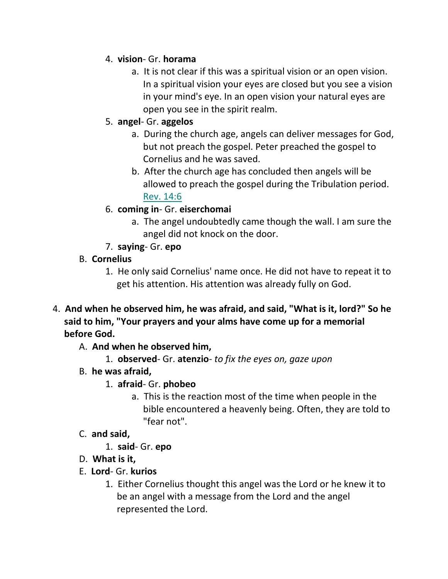# 4. **vision**- Gr. **horama**

a. It is not clear if this was a spiritual vision or an open vision. In a spiritual vision your eyes are closed but you see a vision in your mind's eye. In an open vision your natural eyes are open you see in the spirit realm.

# 5. **angel**- Gr. **aggelos**

- a. During the church age, angels can deliver messages for God, but not preach the gospel. Peter preached the gospel to Cornelius and he was saved.
- b. After the church age has concluded then angels will be allowed to preach the gospel during the Tribulation period. Rev. 14:6

# 6. **coming in**- Gr. **eiserchomai**

- a. The angel undoubtedly came though the wall. I am sure the angel did not knock on the door.
- 7. **saying** Gr. **epo**

# B. **Cornelius**

- 1. He only said Cornelius' name once. He did not have to repeat it to get his attention. His attention was already fully on God.
- 4. **And when he observed him, he was afraid, and said, "What is it, lord?" So he said to him, "Your prayers and your alms have come up for a memorial before God.**
	- A. **And when he observed him,**
		- 1. **observed** Gr. **atenzio** *to fix the eyes on, gaze upon*
	- B. **he was afraid,**
		- 1. **afraid** Gr. **phobeo**
			- a. This is the reaction most of the time when people in the bible encountered a heavenly being. Often, they are told to "fear not".
	- C. **and said,**
		- 1. **said** Gr. **epo**
	- D. **What is it,**
	- E. **Lord** Gr. **kurios**
		- 1. Either Cornelius thought this angel was the Lord or he knew it to be an angel with a message from the Lord and the angel represented the Lord.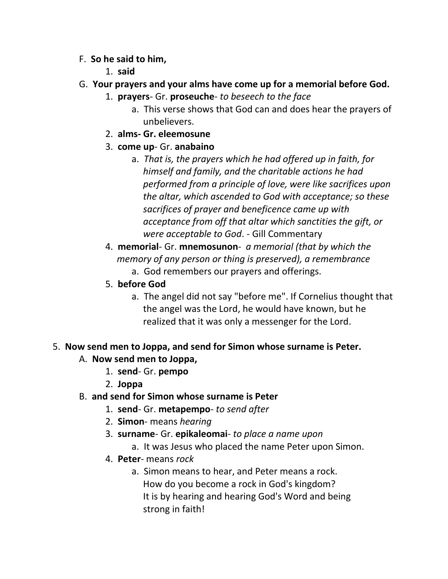- F. **So he said to him,**
	- 1. **said**
- G. **Your prayers and your alms have come up for a memorial before God.** 
	- 1. **prayers** Gr. **proseuche** *to beseech to the face*
		- a. This verse shows that God can and does hear the prayers of unbelievers.
	- 2. **alms- Gr. eleemosune**
	- 3. **come up** Gr. **anabaino**
		- a. *That is, the prayers which he had offered up in faith, for himself and family, and the charitable actions he had performed from a principle of love, were like sacrifices upon the altar, which ascended to God with acceptance; so these sacrifices of prayer and beneficence came up with acceptance from off that altar which sanctities the gift, or were acceptable to God*. - Gill Commentary
	- 4. **memorial** Gr. **mnemosunon** *a memorial (that by which the memory of any person or thing is preserved), a remembrance*
		- a. God remembers our prayers and offerings.
	- 5. **before God**
		- a. The angel did not say "before me". If Cornelius thought that the angel was the Lord, he would have known, but he realized that it was only a messenger for the Lord.

## 5. **Now send men to Joppa, and send for Simon whose surname is Peter.**

- A. **Now send men to Joppa,**
	- 1. **send** Gr. **pempo**
	- 2. **Joppa**
- B. **and send for Simon whose surname is Peter**
	- 1. **send** Gr. **metapempo** *to send after*
	- 2. **Simon** means *hearing*
	- 3. **surname** Gr. **epikaleomai** *to place a name upon*
		- a. It was Jesus who placed the name Peter upon Simon.
	- 4. **Peter** means *rock*
		- a. Simon means to hear, and Peter means a rock. How do you become a rock in God's kingdom? It is by hearing and hearing God's Word and being strong in faith!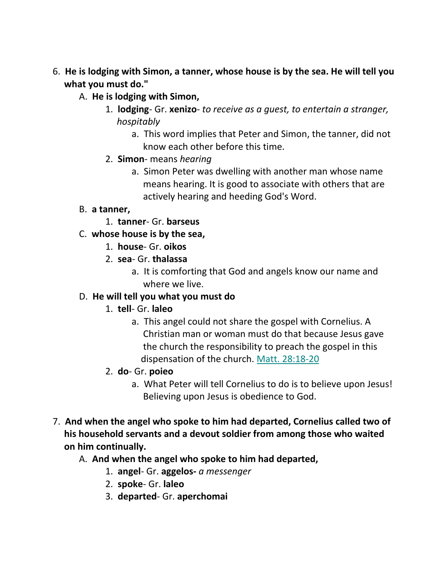- 6. **He is lodging with Simon, a tanner, whose house is by the sea. He will tell you what you must do."** 
	- A. **He is lodging with Simon,**
		- 1. **lodging** Gr. **xenizo** *to receive as a guest, to entertain a stranger, hospitably*
			- a. This word implies that Peter and Simon, the tanner, did not know each other before this time.
		- 2. **Simon** means *hearing*
			- a. Simon Peter was dwelling with another man whose name means hearing. It is good to associate with others that are actively hearing and heeding God's Word.
	- B. **a tanner,**
		- 1. **tanner** Gr. **barseus**
	- C. **whose house is by the sea,**
		- 1. **house** Gr. **oikos**
		- 2. **sea** Gr. **thalassa**
			- a. It is comforting that God and angels know our name and where we live.

#### D. **He will tell you what you must do**

- 1. **tell** Gr. **laleo**
	- a. This angel could not share the gospel with Cornelius. A Christian man or woman must do that because Jesus gave the church the responsibility to preach the gospel in this dispensation of the church. Matt. 28:18-20
- 2. **do** Gr. **poieo**
	- a. What Peter will tell Cornelius to do is to believe upon Jesus! Believing upon Jesus is obedience to God.
- 7. **And when the angel who spoke to him had departed, Cornelius called two of his household servants and a devout soldier from among those who waited on him continually.** 
	- A. **And when the angel who spoke to him had departed,**
		- 1. **angel** Gr. **aggelos-** *a messenger*
		- 2. **spoke** Gr. **laleo**
		- 3. **departed** Gr. **aperchomai**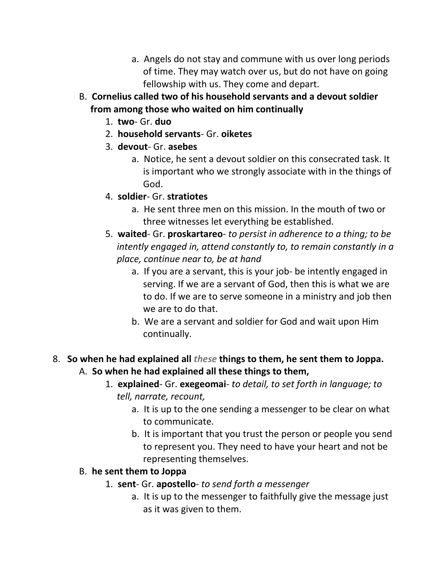- a. Angels do not stay and commune with us over long periods of time. They may watch over us, but do not have on going fellowship with us. They come and depart.
- B. **Cornelius called two of his household servants and a devout soldier from among those who waited on him continually**
	- 1. **two** Gr. **duo**
	- 2. **household servants** Gr. **oiketes**
	- 3. **devout** Gr. **asebes**
		- a. Notice, he sent a devout soldier on this consecrated task. It is important who we strongly associate with in the things of God.
	- 4. **soldier** Gr. **stratiotes**
		- a. He sent three men on this mission. In the mouth of two or three witnesses let everything be established.
	- 5. **waited** Gr. **proskartareo** *to persist in adherence to a thing; to be intently engaged in, attend constantly to, to remain constantly in a place, continue near to, be at hand*
		- a. If you are a servant, this is your job- be intently engaged in serving. If we are a servant of God, then this is what we are to do. If we are to serve someone in a ministry and job then we are to do that.
		- b. We are a servant and soldier for God and wait upon Him continually.

### 8. **So when he had explained all** *these* **things to them, he sent them to Joppa.**  A. **So when he had explained all these things to them,**

- 1. **explained** Gr. **exegeomai** *to detail, to set forth in language; to tell, narrate, recount,*
	- a. It is up to the one sending a messenger to be clear on what to communicate.
	- b. It is important that you trust the person or people you send to represent you. They need to have your heart and not be representing themselves.

#### B. **he sent them to Joppa**

- 1. **sent** Gr. **apostello** *to send forth a messenger*
	- a. It is up to the messenger to faithfully give the message just as it was given to them.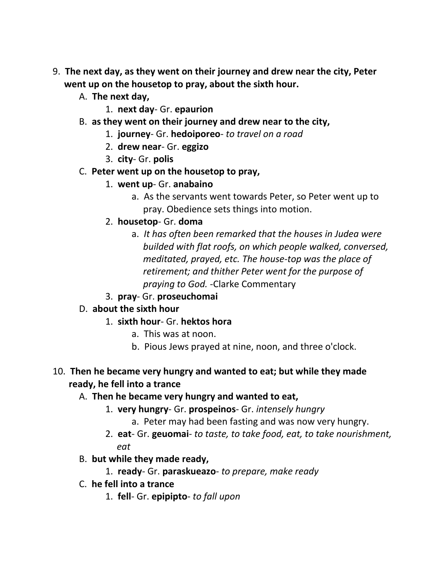- 9. **The next day, as they went on their journey and drew near the city, Peter went up on the housetop to pray, about the sixth hour.** 
	- A. **The next day,**
		- 1. **next day** Gr. **epaurion**
	- B. **as they went on their journey and drew near to the city,**
		- 1. **journey** Gr. **hedoiporeo** *to travel on a road*
		- 2. **drew near** Gr. **eggizo**
		- 3. **city** Gr. **polis**
	- C. **Peter went up on the housetop to pray,**
		- 1. **went up** Gr. **anabaino**
			- a. As the servants went towards Peter, so Peter went up to pray. Obedience sets things into motion.
		- 2. **housetop** Gr. **doma**
			- a. *It has often been remarked that the houses in Judea were builded with flat roofs, on which people walked, conversed, meditated, prayed, etc. The house-top was the place of retirement; and thither Peter went for the purpose of praying to God.* -Clarke Commentary
		- 3. **pray** Gr. **proseuchomai**
	- D. **about the sixth hour**
		- 1. **sixth hour** Gr. **hektos hora**
			- a. This was at noon.
			- b. Pious Jews prayed at nine, noon, and three o'clock.
- 10. **Then he became very hungry and wanted to eat; but while they made ready, he fell into a trance** 
	- A. **Then he became very hungry and wanted to eat,**
		- 1. **very hungry** Gr. **prospeinos** Gr. *intensely hungry*
			- a. Peter may had been fasting and was now very hungry.
		- 2. **eat** Gr. **geuomai** *to taste, to take food, eat, to take nourishment, eat*
	- B. **but while they made ready,**
		- 1. **ready** Gr. **paraskueazo** *to prepare, make ready*
	- C. **he fell into a trance**
		- 1. **fell** Gr. **epipipto** *to fall upon*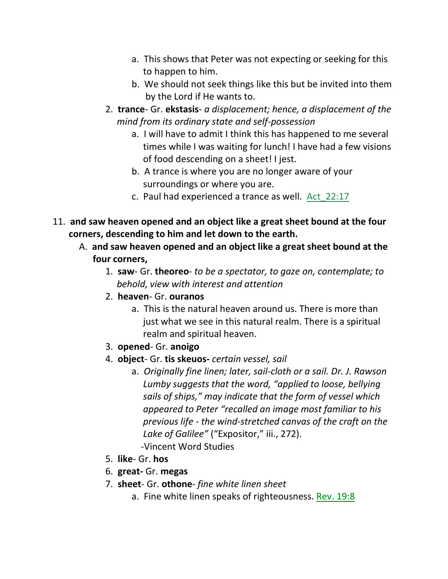- a. This shows that Peter was not expecting or seeking for this to happen to him.
- b. We should not seek things like this but be invited into them by the Lord if He wants to.
- 2. **trance** Gr. **ekstasis** *a displacement; hence, a displacement of the mind from its ordinary state and self-possession*
	- a. I will have to admit I think this has happened to me several times while I was waiting for lunch! I have had a few visions of food descending on a sheet! I jest.
	- b. A trance is where you are no longer aware of your surroundings or where you are.
	- c. Paul had experienced a trance as well. Act\_22:17
- 11. **and saw heaven opened and an object like a great sheet bound at the four corners, descending to him and let down to the earth.** 
	- A. **and saw heaven opened and an object like a great sheet bound at the four corners,**
		- 1. **saw** Gr. **theoreo** *to be a spectator, to gaze on, contemplate; to behold, view with interest and attention*
		- 2. **heaven** Gr. **ouranos**
			- a. This is the natural heaven around us. There is more than just what we see in this natural realm. There is a spiritual realm and spiritual heaven.
		- 3. **opened** Gr. **anoigo**
		- 4. **object** Gr. **tis skeuos-** *certain vessel, sail*
			- a. *Originally fine linen; later, sail-cloth or a sail. Dr. J. Rawson Lumby suggests that the word, "applied to loose, bellying sails of ships," may indicate that the form of vessel which appeared to Peter "recalled an image most familiar to his previous life - the wind-stretched canvas of the craft on the Lake of Galilee"* ("Expositor," iii., 272). -Vincent Word Studies
		- 5. **like** Gr. **hos**
		- 6. **great-** Gr. **megas**
		- 7. **sheet** Gr. **othone** *fine white linen sheet*
			- a. Fine white linen speaks of righteousness. Rev. 19:8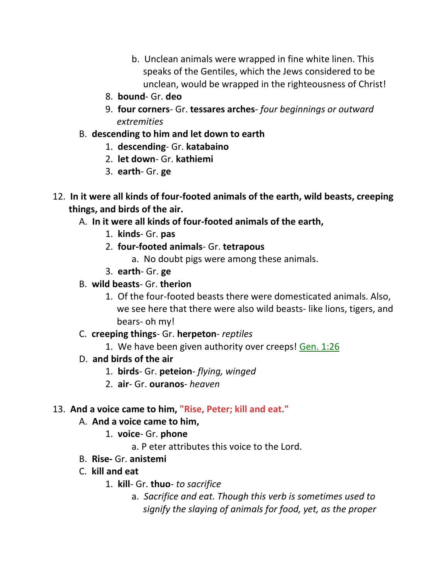- b. Unclean animals were wrapped in fine white linen. This speaks of the Gentiles, which the Jews considered to be unclean, would be wrapped in the righteousness of Christ!
- 8. **bound** Gr. **deo**
- 9. **four corners** Gr. **tessares arches** *four beginnings or outward extremities*
- B. **descending to him and let down to earth**
	- 1. **descending** Gr. **katabaino**
	- 2. **let down** Gr. **kathiemi**
	- 3. **earth** Gr. **ge**
- 12. **In it were all kinds of four-footed animals of the earth, wild beasts, creeping things, and birds of the air.** 
	- A. **In it were all kinds of four-footed animals of the earth,**
		- 1. **kinds** Gr. **pas**
		- 2. **four-footed animals** Gr. **tetrapous**
			- a. No doubt pigs were among these animals.
		- 3. **earth** Gr. **ge**
	- B. **wild beasts** Gr. **therion**
		- 1. Of the four-footed beasts there were domesticated animals. Also, we see here that there were also wild beasts- like lions, tigers, and bears- oh my!
	- C. **creeping things** Gr. **herpeton** *reptiles*
		- 1. We have been given authority over creeps! Gen. 1:26
	- D. **and birds of the air**
		- 1. **birds** Gr. **peteion** *flying, winged*
		- 2. **air** Gr. **ouranos** *heaven*
- 13. **And a voice came to him, "Rise, Peter; kill and eat."**
	- A. **And a voice came to him,**
		- 1. **voice** Gr. **phone**
			- a. P eter attributes this voice to the Lord.
	- B. **Rise-** Gr. **anistemi**
	- C. **kill and eat**
		- 1. **kill** Gr. **thuo** *to sacrifice*
			- a. *Sacrifice and eat. Though this verb is sometimes used to signify the slaying of animals for food, yet, as the proper*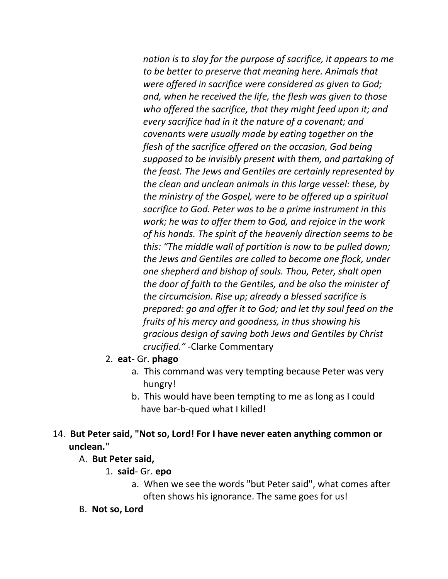*notion is to slay for the purpose of sacrifice, it appears to me to be better to preserve that meaning here. Animals that were offered in sacrifice were considered as given to God; and, when he received the life, the flesh was given to those who offered the sacrifice, that they might feed upon it; and every sacrifice had in it the nature of a covenant; and covenants were usually made by eating together on the flesh of the sacrifice offered on the occasion, God being supposed to be invisibly present with them, and partaking of the feast. The Jews and Gentiles are certainly represented by the clean and unclean animals in this large vessel: these, by the ministry of the Gospel, were to be offered up a spiritual sacrifice to God. Peter was to be a prime instrument in this work; he was to offer them to God, and rejoice in the work of his hands. The spirit of the heavenly direction seems to be this: "The middle wall of partition is now to be pulled down; the Jews and Gentiles are called to become one flock, under one shepherd and bishop of souls. Thou, Peter, shalt open the door of faith to the Gentiles, and be also the minister of the circumcision. Rise up; already a blessed sacrifice is prepared: go and offer it to God; and let thy soul feed on the fruits of his mercy and goodness, in thus showing his gracious design of saving both Jews and Gentiles by Christ crucified."* -Clarke Commentary

- 2. **eat** Gr. **phago**
	- a. This command was very tempting because Peter was very hungry!
	- b. This would have been tempting to me as long as I could have bar-b-qued what I killed!

## 14. **But Peter said, "Not so, Lord! For I have never eaten anything common or unclean."**

#### A. **But Peter said,**

- 1. **said** Gr. **epo** 
	- a. When we see the words "but Peter said", what comes after often shows his ignorance. The same goes for us!
- B. **Not so, Lord**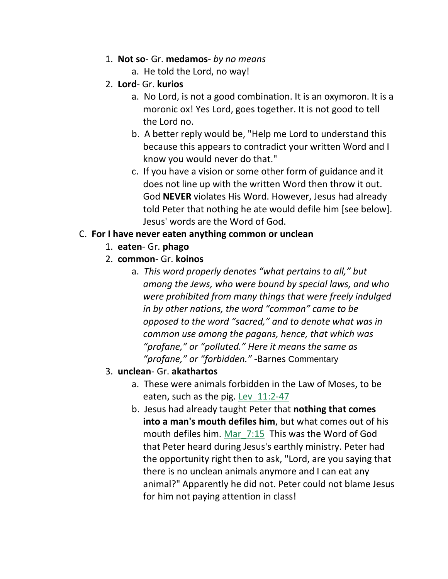- 1. **Not so** Gr. **medamos** *by no means*
	- a. He told the Lord, no way!
- 2. **Lord** Gr. **kurios**
	- a. No Lord, is not a good combination. It is an oxymoron. It is a moronic ox! Yes Lord, goes together. It is not good to tell the Lord no.
	- b. A better reply would be, "Help me Lord to understand this because this appears to contradict your written Word and I know you would never do that."
	- c. If you have a vision or some other form of guidance and it does not line up with the written Word then throw it out. God **NEVER** violates His Word. However, Jesus had already told Peter that nothing he ate would defile him [see below]. Jesus' words are the Word of God.

## C. **For I have never eaten anything common or unclean**

- 1. **eaten** Gr. **phago**
- 2. **common** Gr. **koinos**
	- a. *This word properly denotes "what pertains to all," but among the Jews, who were bound by special laws, and who were prohibited from many things that were freely indulged in by other nations, the word "common" came to be opposed to the word "sacred," and to denote what was in common use among the pagans, hence, that which was "profane," or "polluted." Here it means the same as "profane," or "forbidden."* -Barnes Commentary
- 3. **unclean** Gr. **akathartos**
	- a. These were animals forbidden in the Law of Moses, to be eaten, such as the pig. Lev\_11:2-47
	- b. Jesus had already taught Peter that **nothing that comes into a man's mouth defiles him**, but what comes out of his mouth defiles him. Mar\_7:15 This was the Word of God that Peter heard during Jesus's earthly ministry. Peter had the opportunity right then to ask, "Lord, are you saying that there is no unclean animals anymore and I can eat any animal?" Apparently he did not. Peter could not blame Jesus for him not paying attention in class!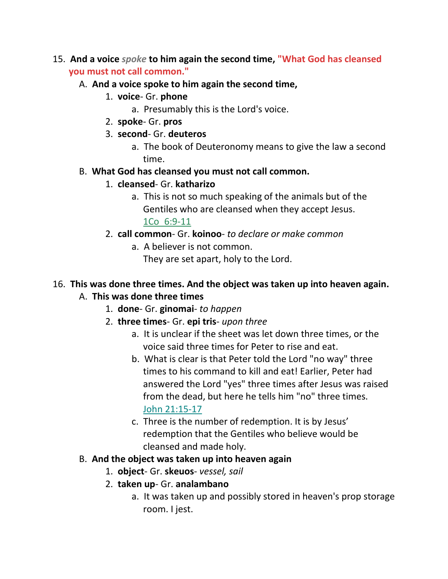- 15. **And a voice** *spoke* **to him again the second time, "What God has cleansed you must not call common."**
	- A. **And a voice spoke to him again the second time,**
		- 1. **voice** Gr. **phone**
			- a. Presumably this is the Lord's voice.
		- 2. **spoke** Gr. **pros**
		- 3. **second** Gr. **deuteros**
			- a. The book of Deuteronomy means to give the law a second time.

## B. **What God has cleansed you must not call common.**

- 1. **cleansed** Gr. **katharizo**
	- a. This is not so much speaking of the animals but of the Gentiles who are cleansed when they accept Jesus. 1Co\_6:9-11
- 2. **call common** Gr. **koinoo** *to declare or make common*
	- a. A believer is not common. They are set apart, holy to the Lord.

# 16. **This was done three times. And the object was taken up into heaven again.**

## A. **This was done three times**

- 1. **done** Gr. **ginomai** *to happen*
- 2. **three times** Gr. **epi tris** *upon three*
	- a. It is unclear if the sheet was let down three times, or the voice said three times for Peter to rise and eat.
	- b. What is clear is that Peter told the Lord "no way" three times to his command to kill and eat! Earlier, Peter had answered the Lord "yes" three times after Jesus was raised from the dead, but here he tells him "no" three times. John 21:15-17
	- c. Three is the number of redemption. It is by Jesus' redemption that the Gentiles who believe would be cleansed and made holy.

## B. **And the object was taken up into heaven again**

- 1. **object** Gr. **skeuos** *vessel, sail*
- 2. **taken up** Gr. **analambano**
	- a. It was taken up and possibly stored in heaven's prop storage room. I jest.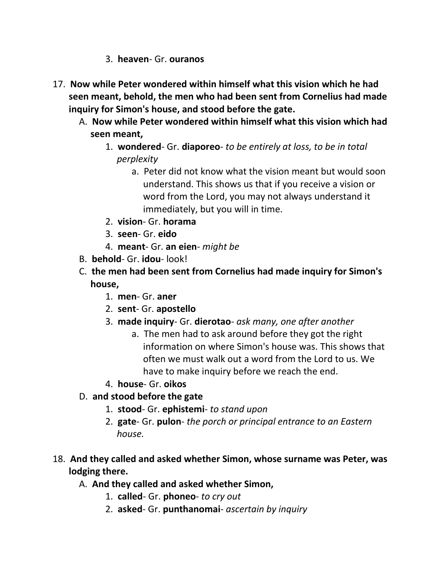- 3. **heaven** Gr. **ouranos**
- 17. **Now while Peter wondered within himself what this vision which he had seen meant, behold, the men who had been sent from Cornelius had made inquiry for Simon's house, and stood before the gate.** 
	- A. **Now while Peter wondered within himself what this vision which had seen meant,**
		- 1. **wondered** Gr. **diaporeo** *to be entirely at loss, to be in total* *perplexity*
			- a. Peter did not know what the vision meant but would soon understand. This shows us that if you receive a vision or word from the Lord, you may not always understand it immediately, but you will in time.
		- 2. **vision** Gr. **horama**
		- 3. **seen** Gr. **eido**
		- 4. **meant** Gr. **an eien** *might be*
	- B. **behold** Gr. **idou** look!
	- C. **the men had been sent from Cornelius had made inquiry for Simon's house,**
		- 1. **men** Gr. **aner**
		- 2. **sent** Gr. **apostello**
		- 3. **made inquiry** Gr. **dierotao** *ask many, one after another*
			- a. The men had to ask around before they got the right information on where Simon's house was. This shows that often we must walk out a word from the Lord to us. We have to make inquiry before we reach the end.
		- 4. **house** Gr. **oikos**
	- D. **and stood before the gate**
		- 1. **stood** Gr. **ephistemi** *to stand upon*
		- 2. **gate** Gr. **pulon** *the porch or principal entrance to an Eastern house.*
- 18. **And they called and asked whether Simon, whose surname was Peter, was lodging there.** 
	- A. **And they called and asked whether Simon,**
		- 1. **called** Gr. **phoneo** *to cry out*
		- 2. **asked** Gr. **punthanomai** *ascertain by inquiry*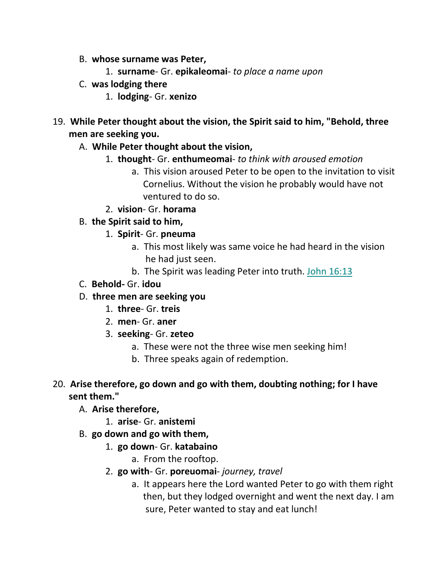- B. **whose surname was Peter,**
	- 1. **surname** Gr. **epikaleomai** *to place a name upon*
- C. **was lodging there**
	- 1. **lodging** Gr. **xenizo**
- 19. **While Peter thought about the vision, the Spirit said to him, "Behold, three men are seeking you.** 
	- A. **While Peter thought about the vision,**
		- 1. **thought** Gr. **enthumeomai** *to think with aroused emotion*
			- a. This vision aroused Peter to be open to the invitation to visit Cornelius. Without the vision he probably would have not ventured to do so.
		- 2. **vision** Gr. **horama**
	- B. **the Spirit said to him,**
		- 1. **Spirit** Gr. **pneuma**
			- a. This most likely was same voice he had heard in the vision he had just seen.
			- b. The Spirit was leading Peter into truth. John 16:13
	- C. **Behold-** Gr. **idou**
	- D. **three men are seeking you**
		- 1. **three** Gr. **treis**
		- 2. **men** Gr. **aner**
		- 3. **seeking** Gr. **zeteo**
			- a. These were not the three wise men seeking him!
			- b. Three speaks again of redemption.
- 20. **Arise therefore, go down and go with them, doubting nothing; for I have sent them."** 
	- A. **Arise therefore,**
		- 1. **arise** Gr. **anistemi**
	- B. **go down and go with them,**
		- 1. **go down** Gr. **katabaino**
			- a. From the rooftop.
		- 2. **go with** Gr. **poreuomai** *journey, travel*
			- a. It appears here the Lord wanted Peter to go with them right then, but they lodged overnight and went the next day. I am sure, Peter wanted to stay and eat lunch!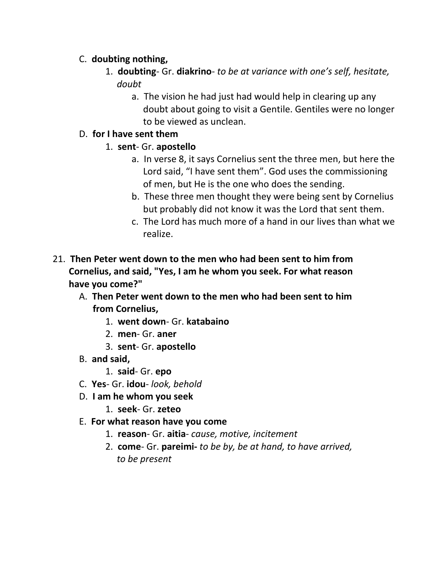## C. **doubting nothing,**

- 1. **doubting** Gr. **diakrino** *to be at variance with one's self, hesitate, doubt*
	- a. The vision he had just had would help in clearing up any doubt about going to visit a Gentile. Gentiles were no longer to be viewed as unclean.
- D. **for I have sent them**
	- 1. **sent** Gr. **apostello**
		- a. In verse 8, it says Cornelius sent the three men, but here the Lord said, "I have sent them". God uses the commissioning of men, but He is the one who does the sending.
		- b. These three men thought they were being sent by Cornelius but probably did not know it was the Lord that sent them.
		- c. The Lord has much more of a hand in our lives than what we realize.
- 21. **Then Peter went down to the men who had been sent to him from Cornelius, and said, "Yes, I am he whom you seek. For what reason have you come?"**
	- A. **Then Peter went down to the men who had been sent to him from Cornelius,**
		- 1. **went down** Gr. **katabaino**
		- 2. **men** Gr. **aner**
		- 3. **sent** Gr. **apostello**
	- B. **and said,**
		- 1. **said** Gr. **epo**
	- C. **Yes** Gr. **idou** *look, behold*
	- D. **I am he whom you seek**
		- 1. **seek** Gr. **zeteo**
	- E. **For what reason have you come**
		- 1. **reason** Gr. **aitia** *cause, motive, incitement*
		- 2. **come** Gr. **pareimi-** *to be by, be at hand, to have arrived, to be present*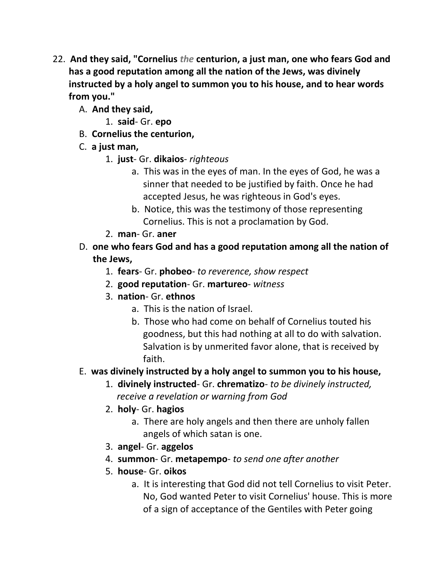- 22. **And they said, "Cornelius** *the* **centurion, a just man, one who fears God and has a good reputation among all the nation of the Jews, was divinely instructed by a holy angel to summon you to his house, and to hear words from you."** 
	- A. **And they said,**
		- 1. **said** Gr. **epo**
	- B. **Cornelius the centurion,**
	- C. **a just man,**
		- 1. **just** Gr. **dikaios** *righteous*
			- a. This was in the eyes of man. In the eyes of God, he was a sinner that needed to be justified by faith. Once he had accepted Jesus, he was righteous in God's eyes.
			- b. Notice, this was the testimony of those representing Cornelius. This is not a proclamation by God.
		- 2. **man** Gr. **aner**
	- D. **one who fears God and has a good reputation among all the nation of the Jews,**
		- 1. **fears** Gr. **phobeo** *to reverence, show respect*
		- 2. **good reputation** Gr. **martureo** *witness*
		- 3. **nation** Gr. **ethnos**
			- a. This is the nation of Israel.
			- b. Those who had come on behalf of Cornelius touted his goodness, but this had nothing at all to do with salvation. Salvation is by unmerited favor alone, that is received by faith.

# E. **was divinely instructed by a holy angel to summon you to his house,**

- 1. **divinely instructed** Gr. **chrematizo** *to be divinely instructed, receive a revelation or warning from God*
- 2. **holy** Gr. **hagios**
	- a. There are holy angels and then there are unholy fallen angels of which satan is one.
- 3. **angel** Gr. **aggelos**
- 4. **summon** Gr. **metapempo** *to send one after another*
- 5. **house** Gr. **oikos**
	- a. It is interesting that God did not tell Cornelius to visit Peter. No, God wanted Peter to visit Cornelius' house. This is more of a sign of acceptance of the Gentiles with Peter going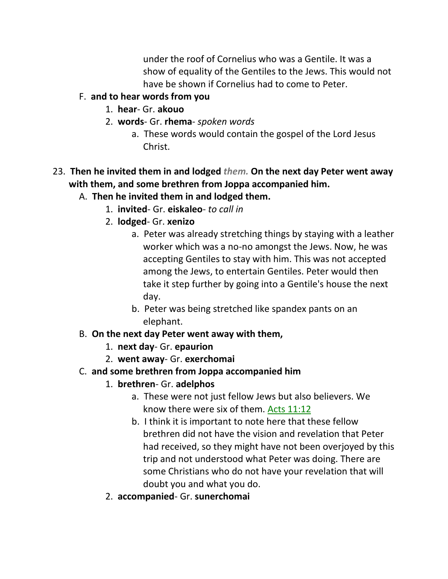under the roof of Cornelius who was a Gentile. It was a show of equality of the Gentiles to the Jews. This would not have be shown if Cornelius had to come to Peter.

## F. **and to hear words from you**

- 1. **hear** Gr. **akouo**
- 2. **words** Gr. **rhema** *spoken words*
	- a. These words would contain the gospel of the Lord Jesus Christ.
- 23. **Then he invited them in and lodged** *them.* **On the next day Peter went away with them, and some brethren from Joppa accompanied him.** 
	- A. **Then he invited them in and lodged them.**
		- 1. **invited** Gr. **eiskaleo** *to call in*
		- 2. **lodged** Gr. **xenizo**
			- a. Peter was already stretching things by staying with a leather worker which was a no-no amongst the Jews. Now, he was accepting Gentiles to stay with him. This was not accepted among the Jews, to entertain Gentiles. Peter would then take it step further by going into a Gentile's house the next day.
			- b. Peter was being stretched like spandex pants on an elephant.

## B. **On the next day Peter went away with them,**

- 1. **next day** Gr. **epaurion**
- 2. **went away** Gr. **exerchomai**

## C. **and some brethren from Joppa accompanied him**

- 1. **brethren** Gr. **adelphos**
	- a. These were not just fellow Jews but also believers. We know there were six of them. Acts 11:12
	- b. I think it is important to note here that these fellow brethren did not have the vision and revelation that Peter had received, so they might have not been overjoyed by this trip and not understood what Peter was doing. There are some Christians who do not have your revelation that will doubt you and what you do.
- 2. **accompanied** Gr. **sunerchomai**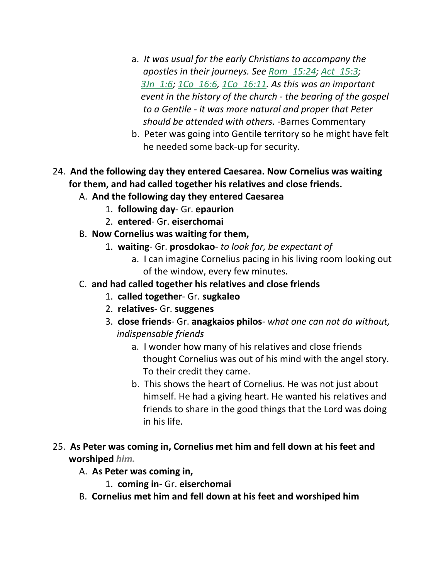- a. *It was usual for the early Christians to accompany the apostles in their journeys. See Rom\_15:24; Act\_15:3; 3Jn\_1:6; 1Co\_16:6, 1Co\_16:11. As this was an important event in the history of the church - the bearing of the gospel to a Gentile - it was more natural and proper that Peter should be attended with others.* -Barnes Commentary
- b. Peter was going into Gentile territory so he might have felt he needed some back-up for security.

# 24. **And the following day they entered Caesarea. Now Cornelius was waiting for them, and had called together his relatives and close friends.**

- A. **And the following day they entered Caesarea**
	- 1. **following day** Gr. **epaurion**
	- 2. **entered** Gr. **eiserchomai**
- B. **Now Cornelius was waiting for them,**
	- 1. **waiting** Gr. **prosdokao** *to look for, be expectant of*
		- a. I can imagine Cornelius pacing in his living room looking out of the window, every few minutes.
- C. **and had called together his relatives and close friends**
	- 1. **called together** Gr. **sugkaleo**
	- 2. **relatives** Gr. **suggenes**
	- 3. **close friends** Gr. **anagkaios philos** *what one can not do without, indispensable friends*
		- a. I wonder how many of his relatives and close friends thought Cornelius was out of his mind with the angel story. To their credit they came.
		- b. This shows the heart of Cornelius. He was not just about himself. He had a giving heart. He wanted his relatives and friends to share in the good things that the Lord was doing in his life.
- 25. **As Peter was coming in, Cornelius met him and fell down at his feet and worshiped** *him.*
	- A. **As Peter was coming in,**
		- 1. **coming in** Gr. **eiserchomai**
	- B. **Cornelius met him and fell down at his feet and worshiped him**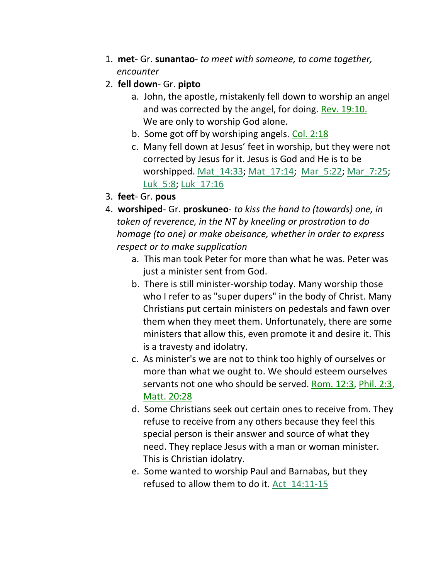- 1. **met** Gr. **sunantao** *to meet with someone, to come together,*  *encounter*
- 2. **fell down** Gr. **pipto**
	- a. John, the apostle, mistakenly fell down to worship an angel and was corrected by the angel, for doing. Rev. 19:10. We are only to worship God alone.
	- b. Some got off by worshiping angels. Col. 2:18
	- c. Many fell down at Jesus' feet in worship, but they were not corrected by Jesus for it. Jesus is God and He is to be worshipped. Mat\_14:33; Mat\_17:14; Mar\_5:22; Mar\_7:25; Luk 5:8; Luk 17:16
- 3. **feet** Gr. **pous**
- 4. **worshiped** Gr. **proskuneo** *to kiss the hand to (towards) one, in token of reverence, in the NT by kneeling or prostration to do homage (to one) or make obeisance, whether in order to express respect or to make supplication*
	- a. This man took Peter for more than what he was. Peter was just a minister sent from God.
	- b. There is still minister-worship today. Many worship those who I refer to as "super dupers" in the body of Christ. Many Christians put certain ministers on pedestals and fawn over them when they meet them. Unfortunately, there are some ministers that allow this, even promote it and desire it. This is a travesty and idolatry.
	- c. As minister's we are not to think too highly of ourselves or more than what we ought to. We should esteem ourselves servants not one who should be served. Rom. 12:3, Phil. 2:3, Matt. 20:28
	- d. Some Christians seek out certain ones to receive from. They refuse to receive from any others because they feel this special person is their answer and source of what they need. They replace Jesus with a man or woman minister. This is Christian idolatry.
	- e. Some wanted to worship Paul and Barnabas, but they refused to allow them to do it. Act\_14:11-15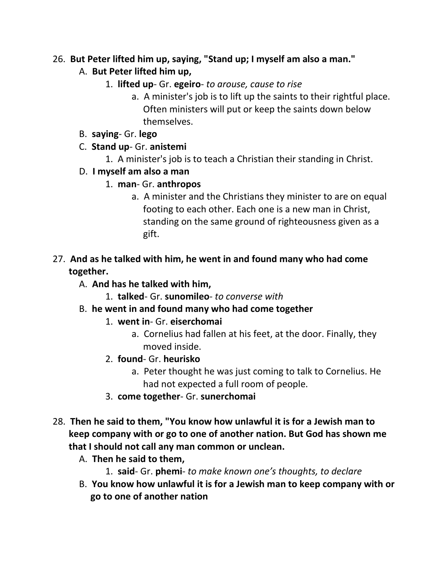#### 26. **But Peter lifted him up, saying, "Stand up; I myself am also a man."**

- A. **But Peter lifted him up,**
	- 1. **lifted up** Gr. **egeiro** *to arouse, cause to rise*
		- a. A minister's job is to lift up the saints to their rightful place. Often ministers will put or keep the saints down below themselves.
- B. **saying** Gr. **lego**
- C. **Stand up** Gr. **anistemi**
	- 1. A minister's job is to teach a Christian their standing in Christ.
- D. **I myself am also a man**
	- 1. **man** Gr. **anthropos**
		- a. A minister and the Christians they minister to are on equal footing to each other. Each one is a new man in Christ, standing on the same ground of righteousness given as a gift.
- 27. **And as he talked with him, he went in and found many who had come together.** 
	- A. **And has he talked with him,**
		- 1. **talked** Gr. **sunomileo** *to converse with*
	- B. **he went in and found many who had come together**
		- 1. **went in** Gr. **eiserchomai**
			- a. Cornelius had fallen at his feet, at the door. Finally, they moved inside.
		- 2. **found** Gr. **heurisko**
			- a. Peter thought he was just coming to talk to Cornelius. He had not expected a full room of people.
		- 3. **come together** Gr. **sunerchomai**
- 28. **Then he said to them, "You know how unlawful it is for a Jewish man to keep company with or go to one of another nation. But God has shown me that I should not call any man common or unclean.** 
	- A. **Then he said to them,**
		- 1. **said** Gr. **phemi** *to make known one's thoughts, to declare*
	- B. **You know how unlawful it is for a Jewish man to keep company with or go to one of another nation**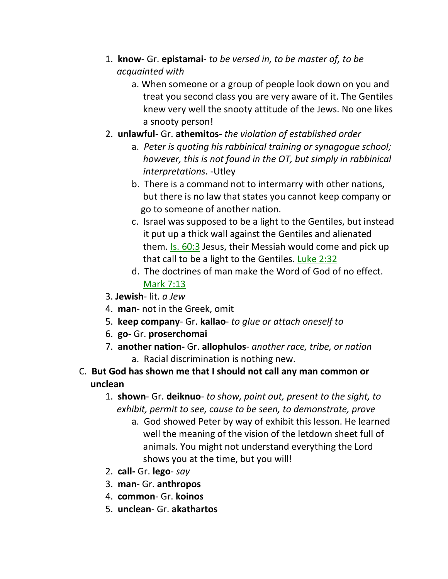- 1. **know** Gr. **epistamai** *to be versed in, to be master of, to be*  *acquainted with*
	- a. When someone or a group of people look down on you and treat you second class you are very aware of it. The Gentiles knew very well the snooty attitude of the Jews. No one likes a snooty person!
- 2. **unlawful** Gr. **athemitos** *the violation of established order*
	- a. *Peter is quoting his rabbinical training or synagogue school; however, this is not found in the OT, but simply in rabbinical interpretations*. -Utley
	- b. There is a command not to intermarry with other nations, but there is no law that states you cannot keep company or go to someone of another nation.
	- c. Israel was supposed to be a light to the Gentiles, but instead it put up a thick wall against the Gentiles and alienated them. Is. 60:3 Jesus, their Messiah would come and pick up that call to be a light to the Gentiles. Luke 2:32
	- d. The doctrines of man make the Word of God of no effect. Mark 7:13
- 3. **Jewish** lit. *a Jew*
- 4. **man** not in the Greek, omit
- 5. **keep company** Gr. **kallao** *to glue or attach oneself to*
- 6. **go** Gr. **proserchomai**
- 7. **another nation-** Gr. **allophulos** *another race, tribe, or nation* a. Racial discrimination is nothing new.
- C. **But God has shown me that I should not call any man common or unclean**
	- 1. **shown** Gr. **deiknuo** *to show, point out, present to the sight, to* *exhibit, permit to see, cause to be seen, to demonstrate, prove*
		- a. God showed Peter by way of exhibit this lesson. He learned well the meaning of the vision of the letdown sheet full of animals. You might not understand everything the Lord shows you at the time, but you will!
	- 2. **call-** Gr. **lego** *say*
	- 3. **man** Gr. **anthropos**
	- 4. **common** Gr. **koinos**
	- 5. **unclean** Gr. **akathartos**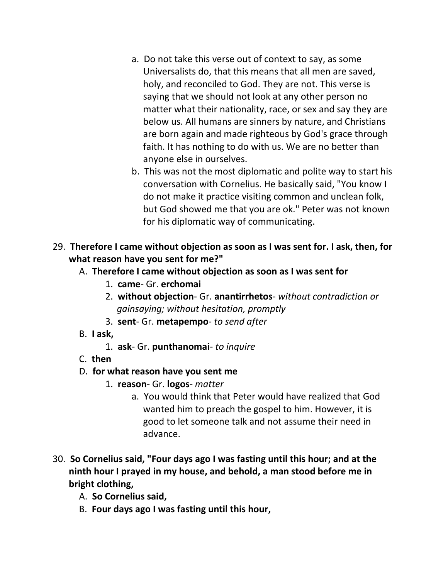- a. Do not take this verse out of context to say, as some Universalists do, that this means that all men are saved, holy, and reconciled to God. They are not. This verse is saying that we should not look at any other person no matter what their nationality, race, or sex and say they are below us. All humans are sinners by nature, and Christians are born again and made righteous by God's grace through faith. It has nothing to do with us. We are no better than anyone else in ourselves.
- b. This was not the most diplomatic and polite way to start his conversation with Cornelius. He basically said, "You know I do not make it practice visiting common and unclean folk, but God showed me that you are ok." Peter was not known for his diplomatic way of communicating.
- 29. **Therefore I came without objection as soon as I was sent for. I ask, then, for what reason have you sent for me?"** 
	- A. **Therefore I came without objection as soon as I was sent for**
		- 1. **came** Gr. **erchomai**
		- 2. **without objection** Gr. **anantirrhetos** *without contradiction or gainsaying; without hesitation, promptly*
		- 3. **sent** Gr. **metapempo** *to send after*
	- B. **I ask,**
		- 1. **ask** Gr. **punthanomai** *to inquire*
	- C. **then**

#### D. **for what reason have you sent me**

- 1. **reason** Gr. **logos** *matter*
	- a. You would think that Peter would have realized that God wanted him to preach the gospel to him. However, it is good to let someone talk and not assume their need in advance.
- 30. **So Cornelius said, "Four days ago I was fasting until this hour; and at the ninth hour I prayed in my house, and behold, a man stood before me in bright clothing,** 
	- A. **So Cornelius said,**
	- B. **Four days ago I was fasting until this hour,**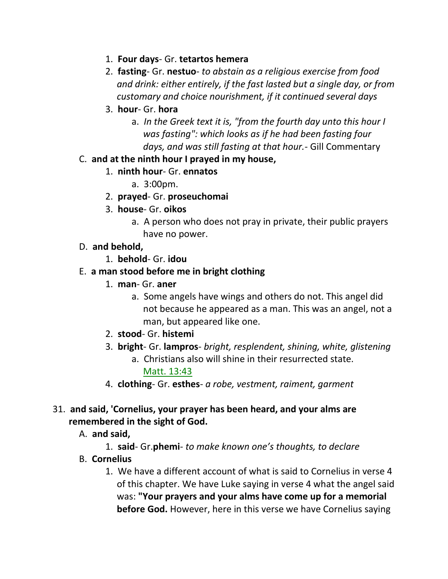- 1. **Four days** Gr. **tetartos hemera**
- 2. **fasting** Gr. **nestuo** *to abstain as a religious exercise from food and drink: either entirely, if the fast lasted but a single day, or from customary and choice nourishment, if it continued several days*
- 3. **hour** Gr. **hora** 
	- a. *In the Greek text it is, "from the fourth day unto this hour I was fasting": which looks as if he had been fasting four days, and was still fasting at that hour.*- Gill Commentary
- C. **and at the ninth hour I prayed in my house,**
	- 1. **ninth hour** Gr. **ennatos**
		- a. 3:00pm.
	- 2. **prayed** Gr. **proseuchomai**
	- 3. **house** Gr. **oikos**
		- a. A person who does not pray in private, their public prayers have no power.
- D. **and behold,**
	- 1. **behold** Gr. **idou**
- E. **a man stood before me in bright clothing**
	- 1. **man** Gr. **aner**
		- a. Some angels have wings and others do not. This angel did not because he appeared as a man. This was an angel, not a man, but appeared like one.
	- 2. **stood** Gr. **histemi**
	- 3. **bright** Gr. **lampros** *bright, resplendent, shining, white, glistening* a. Christians also will shine in their resurrected state. Matt. 13:43
	- 4. **clothing** Gr. **esthes** *a robe, vestment, raiment, garment*
- 31. **and said, 'Cornelius, your prayer has been heard, and your alms are remembered in the sight of God.**
	- A. **and said,**
		- 1. **said** Gr.**phemi** *to make known one's thoughts, to declare*
	- B. **Cornelius**
		- 1. We have a different account of what is said to Cornelius in verse 4 of this chapter. We have Luke saying in verse 4 what the angel said was: **"Your prayers and your alms have come up for a memorial before God.** However, here in this verse we have Cornelius saying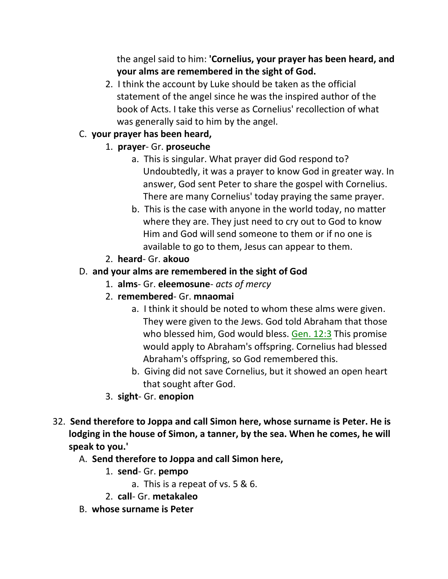the angel said to him: **'Cornelius, your prayer has been heard, and your alms are remembered in the sight of God.**

2. I think the account by Luke should be taken as the official statement of the angel since he was the inspired author of the book of Acts. I take this verse as Cornelius' recollection of what was generally said to him by the angel.

# C. **your prayer has been heard,**

# 1. **prayer**- Gr. **proseuche**

- a. This is singular. What prayer did God respond to? Undoubtedly, it was a prayer to know God in greater way. In answer, God sent Peter to share the gospel with Cornelius. There are many Cornelius' today praying the same prayer.
- b. This is the case with anyone in the world today, no matter where they are. They just need to cry out to God to know Him and God will send someone to them or if no one is available to go to them, Jesus can appear to them.
- 2. **heard** Gr. **akouo**

# D. **and your alms are remembered in the sight of God**

- 1. **alms** Gr. **eleemosune** *acts of mercy*
- 2. **remembered** Gr. **mnaomai**
	- a. I think it should be noted to whom these alms were given. They were given to the Jews. God told Abraham that those who blessed him, God would bless. Gen. 12:3 This promise would apply to Abraham's offspring. Cornelius had blessed Abraham's offspring, so God remembered this.
	- b. Giving did not save Cornelius, but it showed an open heart that sought after God.
- 3. **sight** Gr. **enopion**
- 32. **Send therefore to Joppa and call Simon here, whose surname is Peter. He is lodging in the house of Simon, a tanner, by the sea. When he comes, he will speak to you.'** 
	- A. **Send therefore to Joppa and call Simon here,**
		- 1. **send** Gr. **pempo**
			- a. This is a repeat of vs. 5 & 6.
		- 2. **call** Gr. **metakaleo**
	- B. **whose surname is Peter**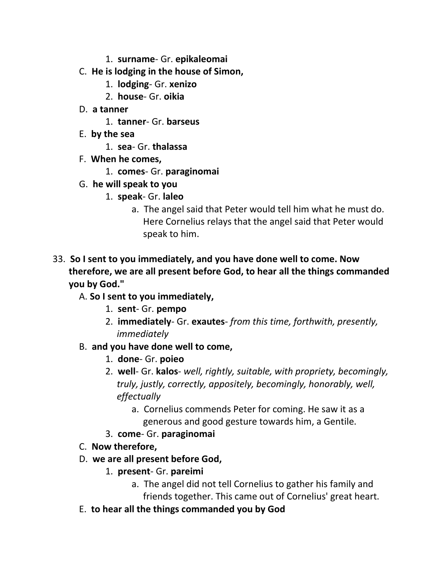- 1. **surname** Gr. **epikaleomai**
- C. **He is lodging in the house of Simon,** 
	- 1. **lodging** Gr. **xenizo**
	- 2. **house** Gr. **oikia**
- D. **a tanner**
	- 1. **tanner** Gr. **barseus**
- E. **by the sea**
	- 1. **sea** Gr. **thalassa**
- F. **When he comes,**
	- 1. **comes** Gr. **paraginomai**
- G. **he will speak to you**
	- 1. **speak** Gr. **laleo**
		- a. The angel said that Peter would tell him what he must do. Here Cornelius relays that the angel said that Peter would speak to him.
- 33. **So I sent to you immediately, and you have done well to come. Now therefore, we are all present before God, to hear all the things commanded you by God."**
	- A. **So I sent to you immediately,**
		- 1. **sent** Gr. **pempo**
		- 2. **immediately** Gr. **exautes** *from this time, forthwith, presently, immediately*
	- B. **and you have done well to come,**
		- 1. **done** Gr. **poieo**
		- 2. **well** Gr. **kalos** *well, rightly, suitable, with propriety, becomingly, truly, justly, correctly, appositely, becomingly, honorably, well, effectually*
			- a. Cornelius commends Peter for coming. He saw it as a generous and good gesture towards him, a Gentile.
		- 3. **come** Gr. **paraginomai**
	- C. **Now therefore,**
	- D. **we are all present before God,**
		- 1. **present** Gr. **pareimi**
			- a. The angel did not tell Cornelius to gather his family and friends together. This came out of Cornelius' great heart.
	- E. **to hear all the things commanded you by God**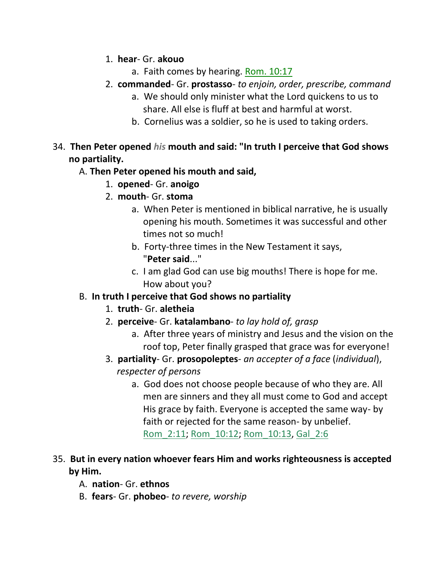- 1. **hear** Gr. **akouo**
	- a. Faith comes by hearing. Rom. 10:17
- 2. **commanded** Gr. **prostasso** *to enjoin, order, prescribe, command*
	- a. We should only minister what the Lord quickens to us to share. All else is fluff at best and harmful at worst.
	- b. Cornelius was a soldier, so he is used to taking orders.
- 34. **Then Peter opened** *his* **mouth and said: "In truth I perceive that God shows no partiality.**

## A. **Then Peter opened his mouth and said,**

- 1. **opened** Gr. **anoigo**
- 2. **mouth** Gr. **stoma**
	- a. When Peter is mentioned in biblical narrative, he is usually opening his mouth. Sometimes it was successful and other times not so much!
	- b. Forty-three times in the New Testament it says, "**Peter said**..."
	- c. I am glad God can use big mouths! There is hope for me. How about you?

# B. **In truth I perceive that God shows no partiality**

- 1. **truth** Gr. **aletheia**
- 2. **perceive** Gr. **katalambano** *to lay hold of, grasp*
	- a. After three years of ministry and Jesus and the vision on the roof top, Peter finally grasped that grace was for everyone!
- 3. **partiality** Gr. **prosopoleptes** *an accepter of a face* (*individual*), *respecter of persons*
	- a. God does not choose people because of who they are. All men are sinners and they all must come to God and accept His grace by faith. Everyone is accepted the same way- by faith or rejected for the same reason- by unbelief. Rom\_2:11; Rom\_10:12; Rom\_10:13, Gal\_2:6

# 35. **But in every nation whoever fears Him and works righteousness is accepted by Him.**

- A. **nation** Gr. **ethnos**
- B. **fears** Gr. **phobeo** *to revere, worship*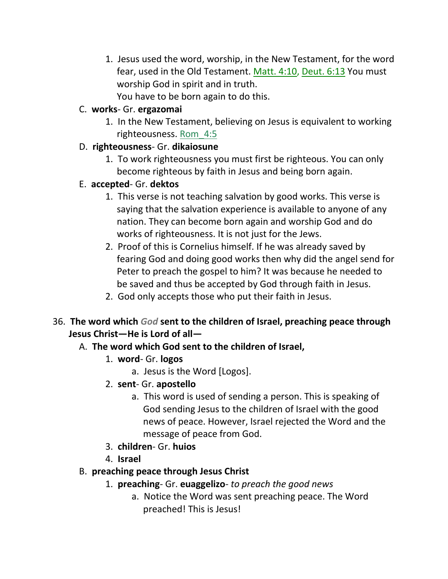- 1. Jesus used the word, worship, in the New Testament, for the word fear, used in the Old Testament. Matt. 4:10, Deut. 6:13 You must worship God in spirit and in truth.
	- You have to be born again to do this.

# C. **works**- Gr. **ergazomai**

1. In the New Testament, believing on Jesus is equivalent to working righteousness. Rom\_4:5

# D. **righteousness**- Gr. **dikaiosune**

1. To work righteousness you must first be righteous. You can only become righteous by faith in Jesus and being born again.

# E. **accepted**- Gr. **dektos**

- 1. This verse is not teaching salvation by good works. This verse is saying that the salvation experience is available to anyone of any nation. They can become born again and worship God and do works of righteousness. It is not just for the Jews.
- 2. Proof of this is Cornelius himself. If he was already saved by fearing God and doing good works then why did the angel send for Peter to preach the gospel to him? It was because he needed to be saved and thus be accepted by God through faith in Jesus.
- 2. God only accepts those who put their faith in Jesus.

# 36. **The word which** *God* **sent to the children of Israel, preaching peace through Jesus Christ—He is Lord of all—**

# A. **The word which God sent to the children of Israel,**

- 1. **word** Gr. **logos**
	- a. Jesus is the Word [Logos].
- 2. **sent** Gr. **apostello**
	- a. This word is used of sending a person. This is speaking of God sending Jesus to the children of Israel with the good news of peace. However, Israel rejected the Word and the message of peace from God.
- 3. **children** Gr. **huios**
- 4. **Israel**

# B. **preaching peace through Jesus Christ**

- 1. **preaching** Gr. **euaggelizo** *to preach the good news*
	- a. Notice the Word was sent preaching peace. The Word preached! This is Jesus!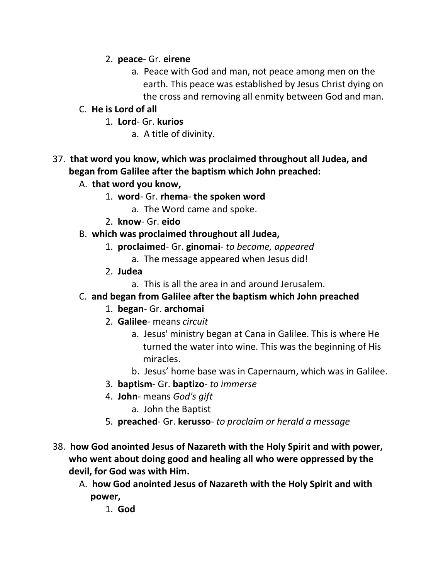### 2. **peace**- Gr. **eirene**

a. Peace with God and man, not peace among men on the earth. This peace was established by Jesus Christ dying on the cross and removing all enmity between God and man.

## C. **He is Lord of all**

- 1. **Lord** Gr. **kurios**
	- a. A title of divinity.

# 37. **that word you know, which was proclaimed throughout all Judea, and began from Galilee after the baptism which John preached:**

- A. **that word you know,**
	- 1. **word** Gr. **rhema the spoken word**
		- a. The Word came and spoke.
	- 2. **know** Gr. **eido**

### B. **which was proclaimed throughout all Judea,**

- 1. **proclaimed** Gr. **ginomai** *to become, appeared*
	- a. The message appeared when Jesus did!
- 2. **Judea**
	- a. This is all the area in and around Jerusalem.

## C. **and began from Galilee after the baptism which John preached**

- 1. **began** Gr. **archomai**
- 2. **Galilee** means *circuit*
	- a. Jesus' ministry began at Cana in Galilee. This is where He turned the water into wine. This was the beginning of His miracles.
	- b. Jesus' home base was in Capernaum, which was in Galilee.
- 3. **baptism** Gr. **baptizo** *to immerse*
- 4. **John** means *God's gift*
	- a. John the Baptist
- 5. **preached** Gr. **kerusso** *to proclaim or herald a message*
- 38. **how God anointed Jesus of Nazareth with the Holy Spirit and with power, who went about doing good and healing all who were oppressed by the devil, for God was with Him.** 
	- A. **how God anointed Jesus of Nazareth with the Holy Spirit and with power,**
		- 1. **God**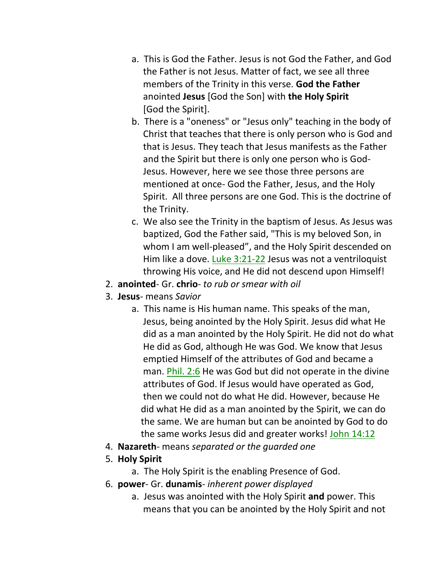- a. This is God the Father. Jesus is not God the Father, and God the Father is not Jesus. Matter of fact, we see all three members of the Trinity in this verse. **God the Father** anointed **Jesus** [God the Son] with **the Holy Spirit** [God the Spirit].
- b. There is a "oneness" or "Jesus only" teaching in the body of Christ that teaches that there is only person who is God and that is Jesus. They teach that Jesus manifests as the Father and the Spirit but there is only one person who is God- Jesus. However, here we see those three persons are mentioned at once- God the Father, Jesus, and the Holy Spirit. All three persons are one God. This is the doctrine of the Trinity.
- c. We also see the Trinity in the baptism of Jesus. As Jesus was baptized, God the Father said, "This is my beloved Son, in whom I am well-pleased", and the Holy Spirit descended on Him like a dove. Luke 3:21-22 Jesus was not a ventriloquist throwing His voice, and He did not descend upon Himself!
- 2. **anointed** Gr. **chrio** *to rub or smear with oil*
- 3. **Jesus** means *Savior*
	- a. This name is His human name. This speaks of the man, Jesus, being anointed by the Holy Spirit. Jesus did what He did as a man anointed by the Holy Spirit. He did not do what He did as God, although He was God. We know that Jesus emptied Himself of the attributes of God and became a man. Phil. 2:6 He was God but did not operate in the divine attributes of God. If Jesus would have operated as God, then we could not do what He did. However, because He did what He did as a man anointed by the Spirit, we can do the same. We are human but can be anointed by God to do the same works Jesus did and greater works! John 14:12
- 4. **Nazareth** means *separated or the guarded one*
- 5. **Holy Spirit**
	- a. The Holy Spirit is the enabling Presence of God.
- 6. **power** Gr. **dunamis** *inherent power displayed*
	- a. Jesus was anointed with the Holy Spirit **and** power. This means that you can be anointed by the Holy Spirit and not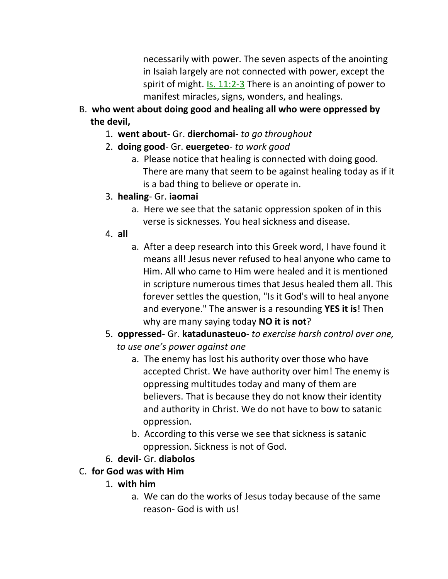necessarily with power. The seven aspects of the anointing in Isaiah largely are not connected with power, except the spirit of might. Is. 11:2-3 There is an anointing of power to manifest miracles, signs, wonders, and healings.

- B. **who went about doing good and healing all who were oppressed by the devil,**
	- 1. **went about** Gr. **dierchomai** *to go throughout*
	- 2. **doing good** Gr. **euergeteo** *to work good*
		- a. Please notice that healing is connected with doing good. There are many that seem to be against healing today as if it is a bad thing to believe or operate in.
	- 3. **healing** Gr. **iaomai**
		- a. Here we see that the satanic oppression spoken of in this verse is sicknesses. You heal sickness and disease.
	- 4. **all**
		- a. After a deep research into this Greek word, I have found it means all! Jesus never refused to heal anyone who came to Him. All who came to Him were healed and it is mentioned in scripture numerous times that Jesus healed them all. This forever settles the question, "Is it God's will to heal anyone and everyone." The answer is a resounding **YES it is**! Then why are many saying today **NO it is not**?
	- 5. **oppressed** Gr. **katadunasteuo** *to exercise harsh control over one, to use one's power against one*
		- a. The enemy has lost his authority over those who have accepted Christ. We have authority over him! The enemy is oppressing multitudes today and many of them are believers. That is because they do not know their identity and authority in Christ. We do not have to bow to satanic oppression.
		- b. According to this verse we see that sickness is satanic oppression. Sickness is not of God.
	- 6. **devil** Gr. **diabolos**
- C. **for God was with Him**
	- 1. **with him**
		- a. We can do the works of Jesus today because of the same reason- God is with us!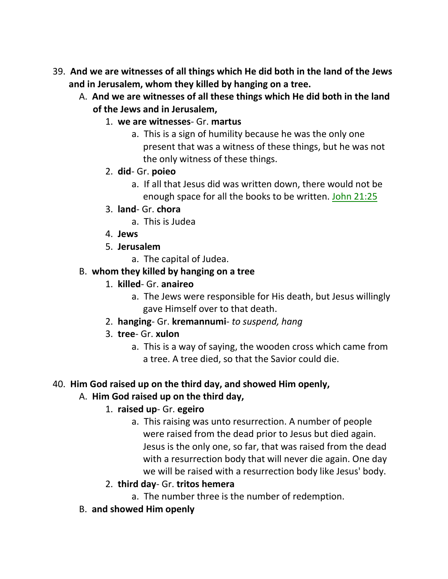- 39. **And we are witnesses of all things which He did both in the land of the Jews and in Jerusalem, whom they killed by hanging on a tree.** 
	- A. **And we are witnesses of all these things which He did both in the land of the Jews and in Jerusalem,**
		- 1. **we are witnesses** Gr. **martus**
			- a. This is a sign of humility because he was the only one present that was a witness of these things, but he was not the only witness of these things.
		- 2. **did** Gr. **poieo**
			- a. If all that Jesus did was written down, there would not be enough space for all the books to be written. John 21:25
		- 3. **land** Gr. **chora**
			- a. This is Judea
		- 4. **Jews**
		- 5. **Jerusalem**
			- a. The capital of Judea.
	- B. **whom they killed by hanging on a tree**
		- 1. **killed** Gr. **anaireo**
			- a. The Jews were responsible for His death, but Jesus willingly gave Himself over to that death.
		- 2. **hanging** Gr. **kremannumi** *to suspend, hang*
		- 3. **tree** Gr. **xulon**
			- a. This is a way of saying, the wooden cross which came from a tree. A tree died, so that the Savior could die.

## 40. **Him God raised up on the third day, and showed Him openly,**

## A. **Him God raised up on the third day,**

# 1. **raised up**- Gr. **egeiro**

- a. This raising was unto resurrection. A number of people were raised from the dead prior to Jesus but died again. Jesus is the only one, so far, that was raised from the dead with a resurrection body that will never die again. One day we will be raised with a resurrection body like Jesus' body.
- 2. **third day** Gr. **tritos hemera**
	- a. The number three is the number of redemption.
- B. **and showed Him openly**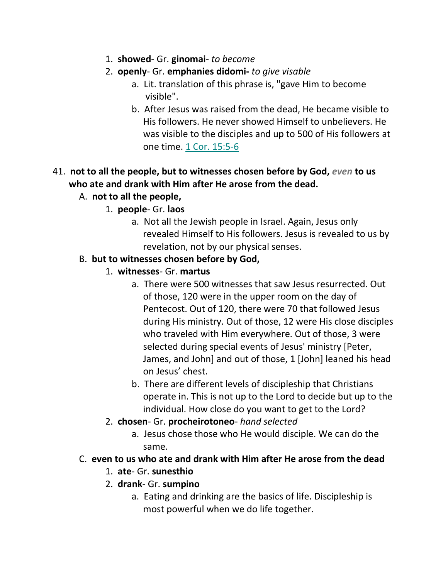- 1. **showed** Gr. **ginomai** *to become*
- 2. **openly** Gr. **emphanies didomi-** *to give visable*
	- a. Lit. translation of this phrase is, "gave Him to become visible".
	- b. After Jesus was raised from the dead, He became visible to His followers. He never showed Himself to unbelievers. He was visible to the disciples and up to 500 of His followers at one time. 1 Cor. 15:5-6

# 41. **not to all the people, but to witnesses chosen before by God,** *even* **to us who ate and drank with Him after He arose from the dead.**

- A. **not to all the people,**
	- 1. **people** Gr. **laos**
		- a. Not all the Jewish people in Israel. Again, Jesus only revealed Himself to His followers. Jesus is revealed to us by revelation, not by our physical senses.

## B. **but to witnesses chosen before by God,**

- 1. **witnesses** Gr. **martus**
	- a. There were 500 witnesses that saw Jesus resurrected. Out of those, 120 were in the upper room on the day of Pentecost. Out of 120, there were 70 that followed Jesus during His ministry. Out of those, 12 were His close disciples who traveled with Him everywhere. Out of those, 3 were selected during special events of Jesus' ministry [Peter, James, and John] and out of those, 1 [John] leaned his head on Jesus' chest.
	- b. There are different levels of discipleship that Christians operate in. This is not up to the Lord to decide but up to the individual. How close do you want to get to the Lord?
- 2. **chosen** Gr. **procheirotoneo** *hand selected*
	- a. Jesus chose those who He would disciple. We can do the same.

## C. **even to us who ate and drank with Him after He arose from the dead**

- 1. **ate** Gr. **sunesthio**
- 2. **drank** Gr. **sumpino**
	- a. Eating and drinking are the basics of life. Discipleship is most powerful when we do life together.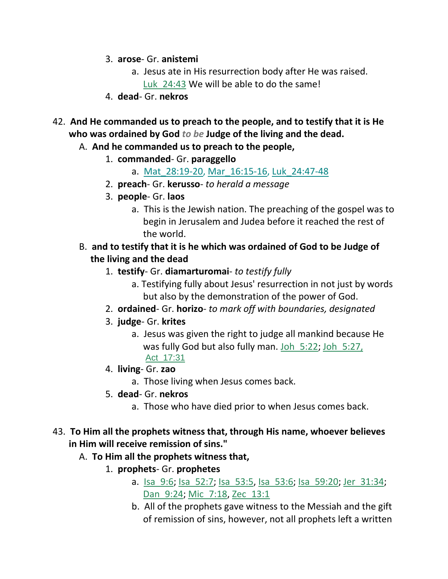- 3. **arose** Gr. **anistemi**
	- a. Jesus ate in His resurrection body after He was raised. Luk 24:43 We will be able to do the same!
- 4. **dead** Gr. **nekros**
- 42. **And He commanded us to preach to the people, and to testify that it is He who was ordained by God** *to be* **Judge of the living and the dead.** 
	- A. **And he commanded us to preach to the people,**
		- 1. **commanded** Gr. **paraggello**
			- a. Mat 28:19-20, Mar 16:15-16, Luk 24:47-48
		- 2. **preach** Gr. **kerusso** *to herald a message*
		- 3. **people** Gr. **laos**
			- a. This is the Jewish nation. The preaching of the gospel was to begin in Jerusalem and Judea before it reached the rest of the world.
	- B. **and to testify that it is he which was ordained of God to be Judge of the living and the dead**
		- 1. **testify** Gr. **diamarturomai** *to testify fully*
			- a. Testifying fully about Jesus' resurrection in not just by words but also by the demonstration of the power of God.
		- 2. **ordained** Gr. **horizo** *to mark off with boundaries, designated*
		- 3. **judge** Gr. **krites**
			- a. Jesus was given the right to judge all mankind because He was fully God but also fully man. Joh 5:22; Joh 5:27, Act\_17:31
		- 4. **living** Gr. **zao**
			- a. Those living when Jesus comes back.
		- 5. **dead** Gr. **nekros**
			- a. Those who have died prior to when Jesus comes back.
- 43. **To Him all the prophets witness that, through His name, whoever believes in Him will receive remission of sins."** 
	- A. **To Him all the prophets witness that,**
		- 1. **prophets** Gr. **prophetes**
			- a. Isa 9:6; Isa 52:7; Isa 53:5, Isa 53:6; Isa 59:20; Jer 31:34; Dan 9:24; Mic 7:18, Zec 13:1
			- b. All of the prophets gave witness to the Messiah and the gift of remission of sins, however, not all prophets left a written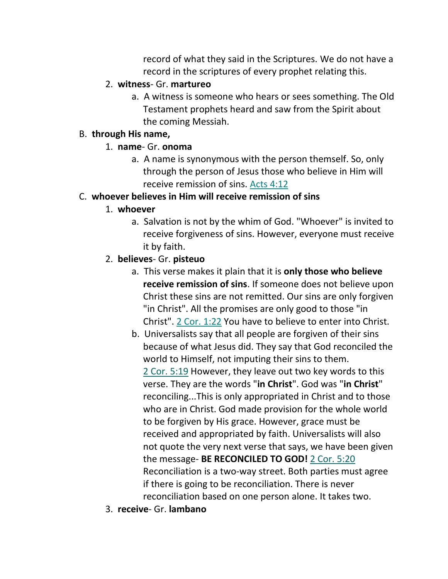record of what they said in the Scriptures. We do not have a record in the scriptures of every prophet relating this.

### 2. **witness**- Gr. **martureo**

a. A witness is someone who hears or sees something. The Old Testament prophets heard and saw from the Spirit about the coming Messiah.

### B. **through His name,**

### 1. **name**- Gr. **onoma**

a. A name is synonymous with the person themself. So, only through the person of Jesus those who believe in Him will receive remission of sins. Acts 4:12

## C. **whoever believes in Him will receive remission of sins**

### 1. **whoever**

a. Salvation is not by the whim of God. "Whoever" is invited to receive forgiveness of sins. However, everyone must receive it by faith.

# 2. **believes**- Gr. **pisteuo**

- a. This verse makes it plain that it is **only those who believe receive remission of sins**. If someone does not believe upon Christ these sins are not remitted. Our sins are only forgiven "in Christ". All the promises are only good to those "in Christ". 2 Cor. 1:22 You have to believe to enter into Christ.
- b. Universalists say that all people are forgiven of their sins because of what Jesus did. They say that God reconciled the world to Himself, not imputing their sins to them. 2 Cor. 5:19 However, they leave out two key words to this verse. They are the words "**in Christ**". God was "**in Christ**" reconciling...This is only appropriated in Christ and to those who are in Christ. God made provision for the whole world to be forgiven by His grace. However, grace must be received and appropriated by faith. Universalists will also not quote the very next verse that says, we have been given the message- **BE RECONCILED TO GOD!** 2 Cor. 5:20 Reconciliation is a two-way street. Both parties must agree if there is going to be reconciliation. There is never reconciliation based on one person alone. It takes two.
- 3. **receive** Gr. **lambano**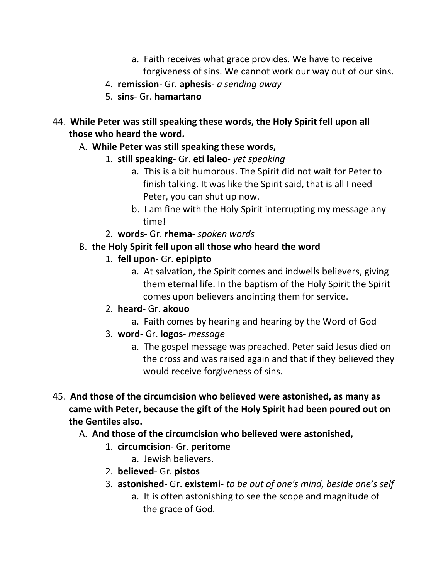- a. Faith receives what grace provides. We have to receive forgiveness of sins. We cannot work our way out of our sins.
- 4. **remission** Gr. **aphesis** *a sending away*
- 5. **sins** Gr. **hamartano**
- 44. **While Peter was still speaking these words, the Holy Spirit fell upon all those who heard the word.** 
	- A. **While Peter was still speaking these words,**
		- 1. **still speaking** Gr. **eti laleo** *yet speaking*
			- a. This is a bit humorous. The Spirit did not wait for Peter to finish talking. It was like the Spirit said, that is all I need Peter, you can shut up now.
			- b. I am fine with the Holy Spirit interrupting my message any time!
		- 2. **words** Gr. **rhema** *spoken words*
	- B. **the Holy Spirit fell upon all those who heard the word**
		- 1. **fell upon** Gr. **epipipto**
			- a. At salvation, the Spirit comes and indwells believers, giving them eternal life. In the baptism of the Holy Spirit the Spirit comes upon believers anointing them for service.
		- 2. **heard** Gr. **akouo**
			- a. Faith comes by hearing and hearing by the Word of God
		- 3. **word** Gr. **logos** *message*
			- a. The gospel message was preached. Peter said Jesus died on the cross and was raised again and that if they believed they would receive forgiveness of sins.
- 45. **And those of the circumcision who believed were astonished, as many as came with Peter, because the gift of the Holy Spirit had been poured out on the Gentiles also.** 
	- A. **And those of the circumcision who believed were astonished,**
		- 1. **circumcision** Gr. **peritome**
			- a. Jewish believers.
		- 2. **believed** Gr. **pistos**
		- 3. **astonished** Gr. **existemi** *to be out of one's mind, beside one's self*
			- a. It is often astonishing to see the scope and magnitude of the grace of God.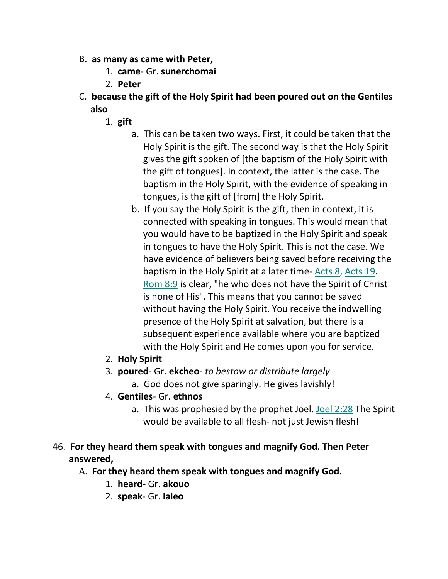- B. **as many as came with Peter,**
	- 1. **came** Gr. **sunerchomai**
	- 2. **Peter**
- C. **because the gift of the Holy Spirit had been poured out on the Gentiles also**
	- 1. **gift**
		- a. This can be taken two ways. First, it could be taken that the Holy Spirit is the gift. The second way is that the Holy Spirit gives the gift spoken of [the baptism of the Holy Spirit with the gift of tongues]. In context, the latter is the case. The baptism in the Holy Spirit, with the evidence of speaking in tongues, is the gift of [from] the Holy Spirit.
		- b. If you say the Holy Spirit is the gift, then in context, it is connected with speaking in tongues. This would mean that you would have to be baptized in the Holy Spirit and speak in tongues to have the Holy Spirit. This is not the case. We have evidence of believers being saved before receiving the baptism in the Holy Spirit at a later time- Acts 8, Acts 19. Rom 8:9 is clear, "he who does not have the Spirit of Christ is none of His". This means that you cannot be saved without having the Holy Spirit. You receive the indwelling presence of the Holy Spirit at salvation, but there is a subsequent experience available where you are baptized with the Holy Spirit and He comes upon you for service.
	- 2. **Holy Spirit**
	- 3. **poured** Gr. **ekcheo** *to bestow or distribute largely*
		- a. God does not give sparingly. He gives lavishly!
	- 4. **Gentiles** Gr. **ethnos**
		- a. This was prophesied by the prophet Joel. Joel 2:28 The Spirit would be available to all flesh- not just Jewish flesh!
- 46. **For they heard them speak with tongues and magnify God. Then Peter answered,** 
	- A. **For they heard them speak with tongues and magnify God.**
		- 1. **heard** Gr. **akouo**
		- 2. **speak** Gr. **laleo**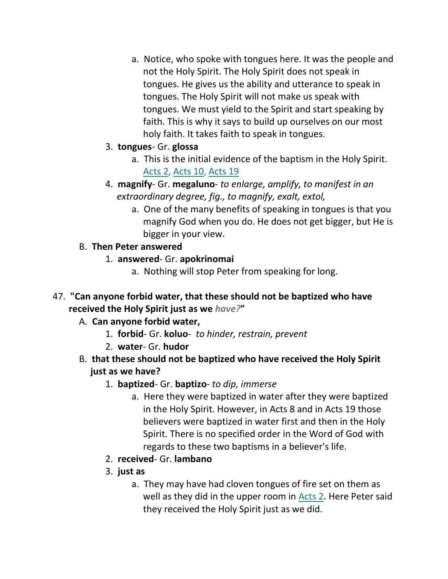a. Notice, who spoke with tongues here. It was the people and not the Holy Spirit. The Holy Spirit does not speak in tongues. He gives us the ability and utterance to speak in tongues. The Holy Spirit will not make us speak with tongues. We must yield to the Spirit and start speaking by faith. This is why it says to build up ourselves on our most holy faith. It takes faith to speak in tongues.

## 3. **tongues**- Gr. **glossa**

- a. This is the initial evidence of the baptism in the Holy Spirit. Acts 2, Acts 10, Acts 19
- 4. **magnify** Gr. **megaluno** *to enlarge, amplify, to manifest in an extraordinary degree, fig., to magnify, exalt, extol,*
	- a. One of the many benefits of speaking in tongues is that you magnify God when you do. He does not get bigger, but He is bigger in your view.

# B. **Then Peter answered**

- 1. **answered** Gr. **apokrinomai**
	- a. Nothing will stop Peter from speaking for long.
- 47. **"Can anyone forbid water, that these should not be baptized who have received the Holy Spirit just as we** *have?***"**

# A. **Can anyone forbid water,**

- 1. **forbid** Gr. **koluo** *to hinder, restrain, prevent*
- 2. **water** Gr. **hudor**
- B. **that these should not be baptized who have received the Holy Spirit just as we have?**
	- 1. **baptized** Gr. **baptizo** *to dip, immerse*
		- a. Here they were baptized in water after they were baptized in the Holy Spirit. However, in Acts 8 and in Acts 19 those believers were baptized in water first and then in the Holy Spirit. There is no specified order in the Word of God with regards to these two baptisms in a believer's life.
	- 2. **received** Gr. **lambano**
	- 3. **just as**
		- a. They may have had cloven tongues of fire set on them as well as they did in the upper room in Acts 2. Here Peter said they received the Holy Spirit just as we did.